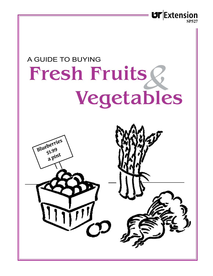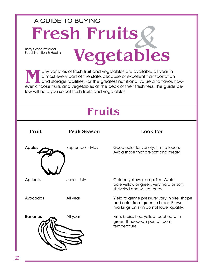## Betty Greer, Professor Food, Nutrition & Health Fresh Fruits Vegetables A GUIDE TO BUYING<br> **Fresh Fruits Q**

Many varieties of fresh fruit and vegetables are available all year in<br>almost every part of the state, because of excellent transportation<br>and storage facilities. For the greatest nutritional value and flavor,<br>ever choose almost every part of the state, because of excellent transportation and storage facilities. For the greatest nutritional value and flavor, however, choose fruits and vegetables at the peak of their freshness. The guide below will help you select fresh fruits and vegetables.

## Fruits

| Fruit           | <b>Peak Season</b> | <b>Look For</b>                                                                                                                 |
|-----------------|--------------------|---------------------------------------------------------------------------------------------------------------------------------|
| <b>Apples</b>   | September - May    | Good color for variety; firm to touch.<br>Avoid those that are soft and mealy.                                                  |
| <b>Apricots</b> | June - July        | Golden yellow; plump; firm. Avoid<br>pale yellow or green, very hard or soft,<br>shriveled and wilted ones.                     |
| Avocados        | All year           | Yield to gentle pressure; vary in size, shape<br>and color from green to black. Brown<br>markings on skin do not lower quality. |
| <b>Bananas</b>  | All year           | Firm; bruise free; yellow touched with<br>green. If needed, ripen at room<br>temperature.                                       |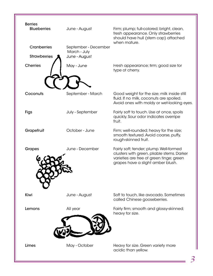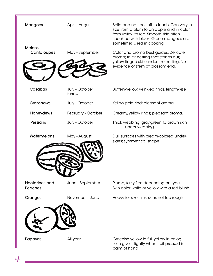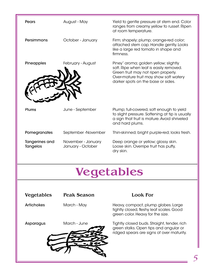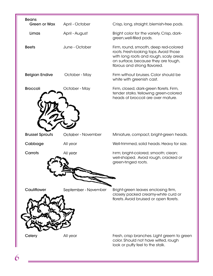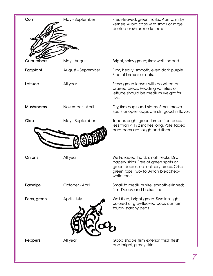| Corn             | May - September    | Fresh-leaved, green husks. Plump, milky<br>kernels. Avoid cobs with small or large,<br>dented or shrunken kernels                                                             |
|------------------|--------------------|-------------------------------------------------------------------------------------------------------------------------------------------------------------------------------|
| Cucumbers        | May - August       | Bright, shiny green; firm; well-shaped.                                                                                                                                       |
| Eggplant         | August - September | Firm; heavy; smooth; even dark purple.<br>Free of bruises or cuts.                                                                                                            |
| Lettuce          | All year           | Fresh green leaves with no wilted or<br>bruised areas. Heading varieties of<br>lettuce should be medium weight for<br>size.                                                   |
| <b>Mushrooms</b> | November - April   | Dry, firm caps and stems. Small brown<br>spots or open caps are still good in flavor.                                                                                         |
| Okra             | May - September    | Tender, bright-green, bruise-free pods,<br>less than 4 1/2 inches long. Pale, faded,<br>hard pods are tough and fibrous.                                                      |
| Onions           | All year           | Well-shaped; hard; small necks. Dry,<br>papery skins. Free of green spots or<br>green-depressed leathery areas. Crisp<br>green tops. Two- to 3-inch bleached-<br>white roots. |
| Parsnips         | October - April    | Small to medium size; smooth-skinned;<br>firm. Decay and bruise free.                                                                                                         |
| Peas, green      | April - July       | Well-filled; bright green. Swollen, light-<br>colored or gray-flecked pods contain<br>tough, starchy peas.                                                                    |
| Peppers          | All year           | Good shape; firm exterior; thick flesh<br>and bright, glossy skin.                                                                                                            |